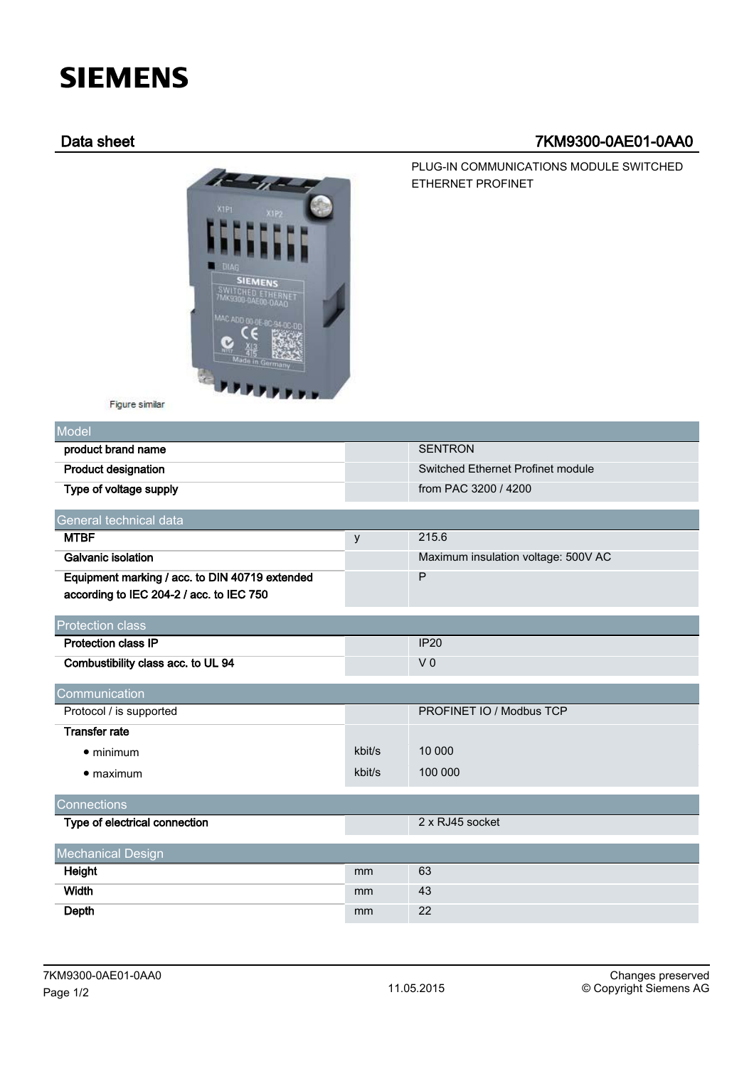# **SIEMENS**

# Data sheet 7KM9300-0AE01-0AA0

PLUG-IN COMMUNICATIONS MODULE SWITCHED

ETHERNET PROFINET



Figure similar

| Model                                          |        |                                     |
|------------------------------------------------|--------|-------------------------------------|
| product brand name                             |        | <b>SENTRON</b>                      |
| <b>Product designation</b>                     |        | Switched Ethernet Profinet module   |
| Type of voltage supply                         |        | from PAC 3200 / 4200                |
| General technical data                         |        |                                     |
| <b>MTBF</b>                                    |        | 215.6                               |
|                                                | y      |                                     |
| <b>Galvanic isolation</b>                      |        | Maximum insulation voltage: 500V AC |
| Equipment marking / acc. to DIN 40719 extended |        | P                                   |
| according to IEC 204-2 / acc. to IEC 750       |        |                                     |
|                                                |        |                                     |
| <b>Protection class</b>                        |        |                                     |
| <b>Protection class IP</b>                     |        | <b>IP20</b>                         |
| Combustibility class acc. to UL 94             |        | V <sub>0</sub>                      |
| Communication                                  |        |                                     |
| Protocol / is supported                        |        | PROFINET IO / Modbus TCP            |
| <b>Transfer rate</b>                           |        |                                     |
| $\bullet$ minimum                              | kbit/s | 10 000                              |
| $\bullet$ maximum                              | kbit/s | 100 000                             |
| Connections                                    |        |                                     |
| Type of electrical connection                  |        | 2 x RJ45 socket                     |
| <b>Mechanical Design</b>                       |        |                                     |
|                                                | mm     | 63                                  |
| Height                                         |        |                                     |
| Width                                          | mm     | 43                                  |
| <b>Depth</b>                                   | mm     | 22                                  |